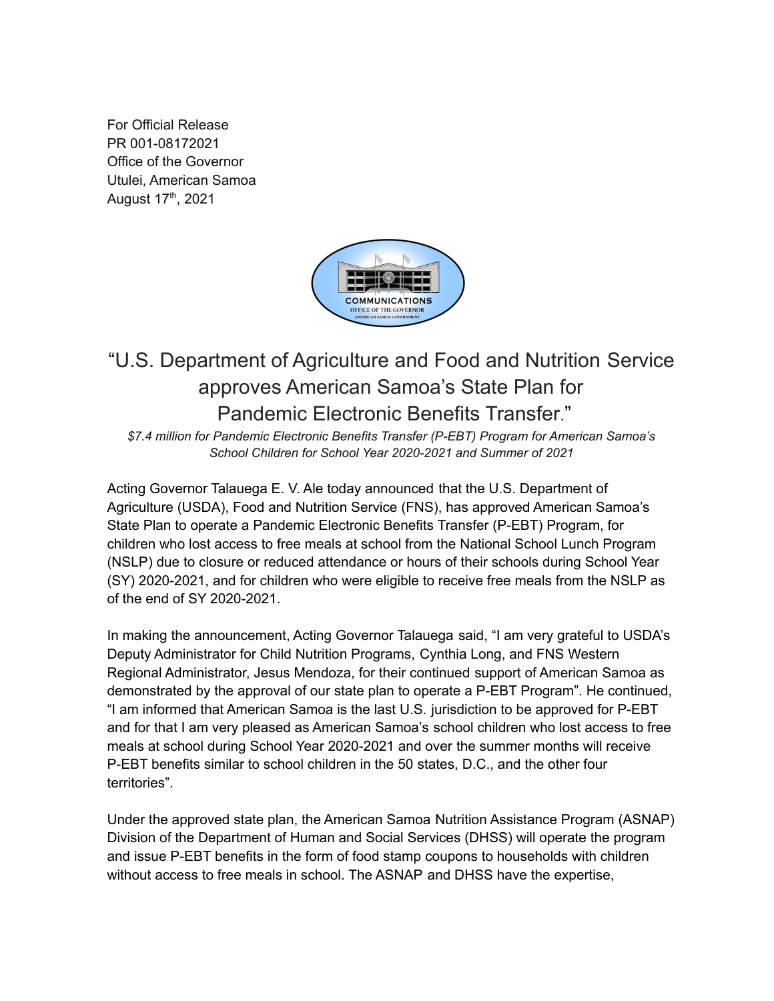For Official Release PR 001-08172021 Office of the Governor Utulei, American Samoa August 17<sup>th</sup>, 2021



## "U.S. Department of Agriculture and Food and Nutrition Service approves American Samoa's State Plan for Pandemic Electronic Benefits Transfer."

*\$7.4 million for Pandemic Electronic Benefits Transfer (P-EBT) Program for American Samoa's School Children for School Year 2020-2021 and Summer of 2021*

Acting Governor Talauega E. V. Ale today announced that the U.S. Department of Agriculture (USDA), Food and Nutrition Service (FNS), has approved American Samoa's State Plan to operate a Pandemic Electronic Benefits Transfer (P-EBT) Program, for children who lost access to free meals at school from the National School Lunch Program (NSLP) due to closure or reduced attendance or hours of their schools during School Year (SY) 2020-2021, and for children who were eligible to receive free meals from the NSLP as of the end of SY 2020-2021.

In making the announcement, Acting Governor Talauega said, "I am very grateful to USDA's Deputy Administrator for Child Nutrition Programs, Cynthia Long, and FNS Western Regional Administrator, Jesus Mendoza, for their continued support of American Samoa as demonstrated by the approval of our state plan to operate a P-EBT Program". He continued, "I am informed that American Samoa is the last U.S. jurisdiction to be approved for P-EBT and for that I am very pleased as American Samoa's school children who lost access to free meals at school during School Year 2020-2021 and over the summer months will receive P-EBT benefits similar to school children in the 50 states, D.C., and the other four territories".

Under the approved state plan, the American Samoa Nutrition Assistance Program (ASNAP) Division of the Department of Human and Social Services (DHSS) will operate the program and issue P-EBT benefits in the form of food stamp coupons to households with children without access to free meals in school. The ASNAP and DHSS have the expertise,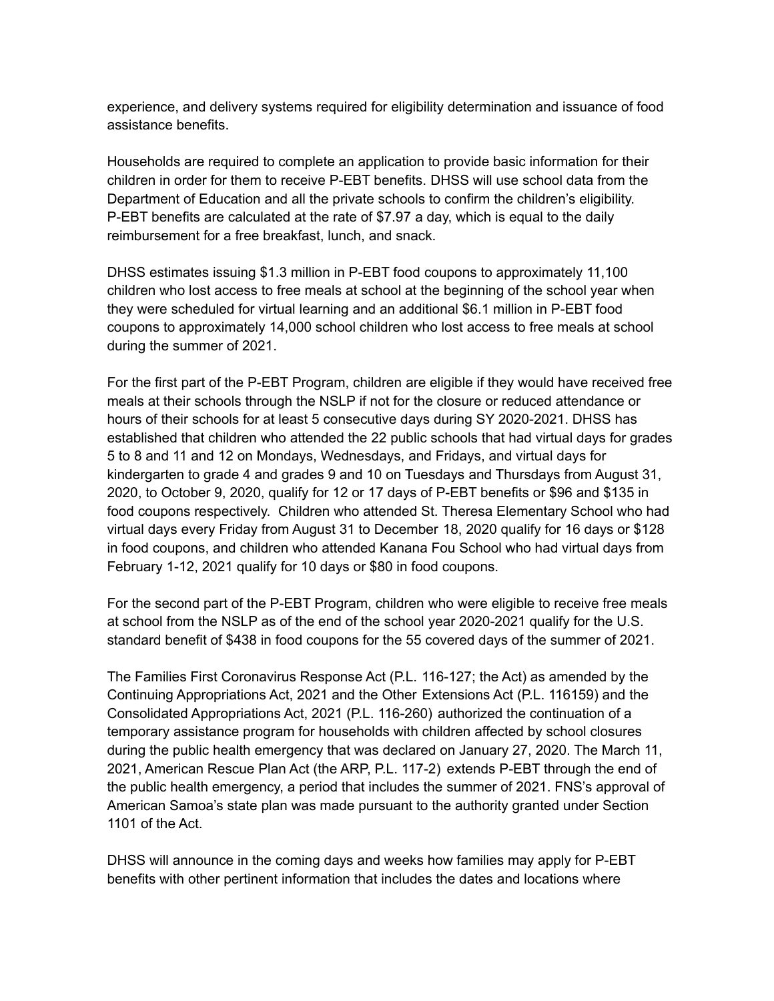experience, and delivery systems required for eligibility determination and issuance of food assistance benefits.

Households are required to complete an application to provide basic information for their children in order for them to receive P-EBT benefits. DHSS will use school data from the Department of Education and all the private schools to confirm the children's eligibility. P-EBT benefits are calculated at the rate of \$7.97 a day, which is equal to the daily reimbursement for a free breakfast, lunch, and snack.

DHSS estimates issuing \$1.3 million in P-EBT food coupons to approximately 11,100 children who lost access to free meals at school at the beginning of the school year when they were scheduled for virtual learning and an additional \$6.1 million in P-EBT food coupons to approximately 14,000 school children who lost access to free meals at school during the summer of 2021.

For the first part of the P-EBT Program, children are eligible if they would have received free meals at their schools through the NSLP if not for the closure or reduced attendance or hours of their schools for at least 5 consecutive days during SY 2020-2021. DHSS has established that children who attended the 22 public schools that had virtual days for grades 5 to 8 and 11 and 12 on Mondays, Wednesdays, and Fridays, and virtual days for kindergarten to grade 4 and grades 9 and 10 on Tuesdays and Thursdays from August 31, 2020, to October 9, 2020, qualify for 12 or 17 days of P-EBT benefits or \$96 and \$135 in food coupons respectively. Children who attended St. Theresa Elementary School who had virtual days every Friday from August 31 to December 18, 2020 qualify for 16 days or \$128 in food coupons, and children who attended Kanana Fou School who had virtual days from February 1-12, 2021 qualify for 10 days or \$80 in food coupons.

For the second part of the P-EBT Program, children who were eligible to receive free meals at school from the NSLP as of the end of the school year 2020-2021 qualify for the U.S. standard benefit of \$438 in food coupons for the 55 covered days of the summer of 2021.

The Families First Coronavirus Response Act (P.L. 116-127; the Act) as amended by the Continuing Appropriations Act, 2021 and the Other Extensions Act (P.L. 116159) and the Consolidated Appropriations Act, 2021 (P.L. 116-260) authorized the continuation of a temporary assistance program for households with children affected by school closures during the public health emergency that was declared on January 27, 2020. The March 11, 2021, American Rescue Plan Act (the ARP, P.L. 117-2) extends P-EBT through the end of the public health emergency, a period that includes the summer of 2021. FNS's approval of American Samoa's state plan was made pursuant to the authority granted under Section 1101 of the Act.

DHSS will announce in the coming days and weeks how families may apply for P-EBT benefits with other pertinent information that includes the dates and locations where